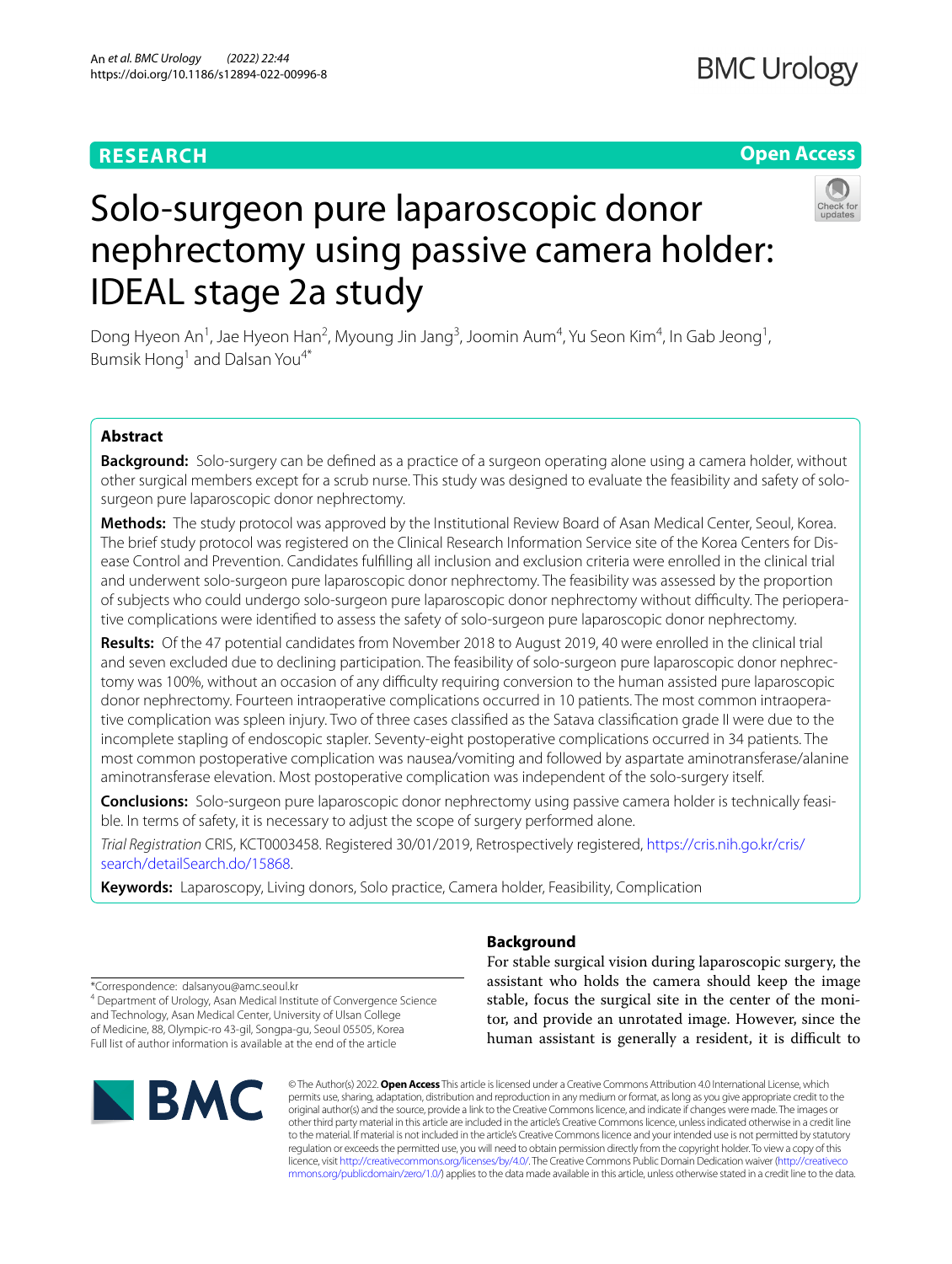# **RESEARCH**

# **BMC Urology**

# **Open Access**



# Solo-surgeon pure laparoscopic donor nephrectomy using passive camera holder: IDEAL stage 2a study

Dong Hyeon An<sup>1</sup>, Jae Hyeon Han<sup>2</sup>, Myoung Jin Jang<sup>3</sup>, Joomin Aum<sup>4</sup>, Yu Seon Kim<sup>4</sup>, In Gab Jeong<sup>1</sup>, Bumsik Hong<sup>1</sup> and Dalsan You<sup>4\*</sup>

# **Abstract**

**Background:** Solo-surgery can be defned as a practice of a surgeon operating alone using a camera holder, without other surgical members except for a scrub nurse. This study was designed to evaluate the feasibility and safety of solosurgeon pure laparoscopic donor nephrectomy.

**Methods:** The study protocol was approved by the Institutional Review Board of Asan Medical Center, Seoul, Korea. The brief study protocol was registered on the Clinical Research Information Service site of the Korea Centers for Disease Control and Prevention. Candidates fulflling all inclusion and exclusion criteria were enrolled in the clinical trial and underwent solo-surgeon pure laparoscopic donor nephrectomy. The feasibility was assessed by the proportion of subjects who could undergo solo-surgeon pure laparoscopic donor nephrectomy without difculty. The perioperative complications were identifed to assess the safety of solo-surgeon pure laparoscopic donor nephrectomy.

**Results:** Of the 47 potential candidates from November 2018 to August 2019, 40 were enrolled in the clinical trial and seven excluded due to declining participation. The feasibility of solo-surgeon pure laparoscopic donor nephrectomy was 100%, without an occasion of any difculty requiring conversion to the human assisted pure laparoscopic donor nephrectomy. Fourteen intraoperative complications occurred in 10 patients. The most common intraoperative complication was spleen injury. Two of three cases classifed as the Satava classifcation grade II were due to the incomplete stapling of endoscopic stapler. Seventy-eight postoperative complications occurred in 34 patients. The most common postoperative complication was nausea/vomiting and followed by aspartate aminotransferase/alanine aminotransferase elevation. Most postoperative complication was independent of the solo-surgery itself.

**Conclusions:** Solo-surgeon pure laparoscopic donor nephrectomy using passive camera holder is technically feasible. In terms of safety, it is necessary to adjust the scope of surgery performed alone.

*Trial Registration* CRIS, KCT0003458. Registered 30/01/2019, Retrospectively registered, [https://cris.nih.go.kr/cris/](https://cris.nih.go.kr/cris/search/detailSearch.do/15868) [search/detailSearch.do/15868.](https://cris.nih.go.kr/cris/search/detailSearch.do/15868)

**Keywords:** Laparoscopy, Living donors, Solo practice, Camera holder, Feasibility, Complication

## **Background**

For stable surgical vision during laparoscopic surgery, the assistant who holds the camera should keep the image stable, focus the surgical site in the center of the monitor, and provide an unrotated image. However, since the human assistant is generally a resident, it is difficult to

\*Correspondence: dalsanyou@amc.seoul.kr

<sup>4</sup> Department of Urology, Asan Medical Institute of Convergence Science and Technology, Asan Medical Center, University of Ulsan College of Medicine, 88, Olympic-ro 43-gil, Songpa-gu, Seoul 05505, Korea Full list of author information is available at the end of the article



© The Author(s) 2022. **Open Access** This article is licensed under a Creative Commons Attribution 4.0 International License, which permits use, sharing, adaptation, distribution and reproduction in any medium or format, as long as you give appropriate credit to the original author(s) and the source, provide a link to the Creative Commons licence, and indicate if changes were made. The images or other third party material in this article are included in the article's Creative Commons licence, unless indicated otherwise in a credit line to the material. If material is not included in the article's Creative Commons licence and your intended use is not permitted by statutory regulation or exceeds the permitted use, you will need to obtain permission directly from the copyright holder. To view a copy of this licence, visit [http://creativecommons.org/licenses/by/4.0/.](http://creativecommons.org/licenses/by/4.0/) The Creative Commons Public Domain Dedication waiver ([http://creativeco](http://creativecommons.org/publicdomain/zero/1.0/) [mmons.org/publicdomain/zero/1.0/](http://creativecommons.org/publicdomain/zero/1.0/)) applies to the data made available in this article, unless otherwise stated in a credit line to the data.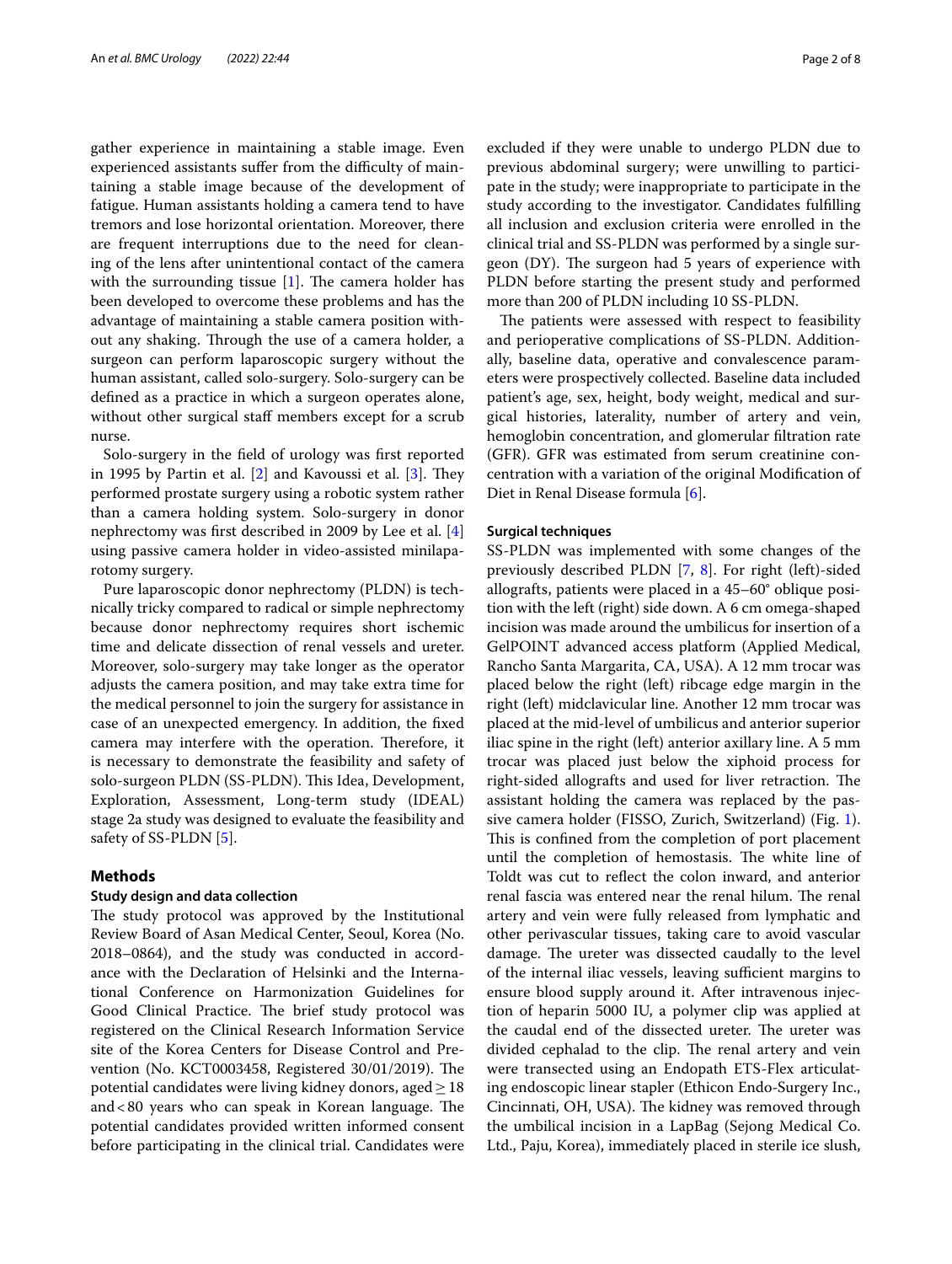gather experience in maintaining a stable image. Even experienced assistants suffer from the difficulty of maintaining a stable image because of the development of fatigue. Human assistants holding a camera tend to have tremors and lose horizontal orientation. Moreover, there are frequent interruptions due to the need for cleaning of the lens after unintentional contact of the camera with the surrounding tissue  $[1]$  $[1]$ . The camera holder has been developed to overcome these problems and has the advantage of maintaining a stable camera position without any shaking. Through the use of a camera holder, a surgeon can perform laparoscopic surgery without the human assistant, called solo-surgery. Solo-surgery can be defned as a practice in which a surgeon operates alone, without other surgical staff members except for a scrub nurse.

Solo-surgery in the feld of urology was frst reported in 1995 by Partin et al.  $[2]$  $[2]$  and Kavoussi et al.  $[3]$  $[3]$ . They performed prostate surgery using a robotic system rather than a camera holding system. Solo-surgery in donor nephrectomy was frst described in 2009 by Lee et al. [\[4](#page-6-3)] using passive camera holder in video-assisted minilaparotomy surgery.

Pure laparoscopic donor nephrectomy (PLDN) is technically tricky compared to radical or simple nephrectomy because donor nephrectomy requires short ischemic time and delicate dissection of renal vessels and ureter. Moreover, solo-surgery may take longer as the operator adjusts the camera position, and may take extra time for the medical personnel to join the surgery for assistance in case of an unexpected emergency. In addition, the fxed camera may interfere with the operation. Therefore, it is necessary to demonstrate the feasibility and safety of solo-surgeon PLDN (SS-PLDN). This Idea, Development, Exploration, Assessment, Long-term study (IDEAL) stage 2a study was designed to evaluate the feasibility and safety of SS-PLDN [\[5](#page-6-4)].

#### **Methods**

#### **Study design and data collection**

The study protocol was approved by the Institutional Review Board of Asan Medical Center, Seoul, Korea (No. 2018–0864), and the study was conducted in accordance with the Declaration of Helsinki and the International Conference on Harmonization Guidelines for Good Clinical Practice. The brief study protocol was registered on the Clinical Research Information Service site of the Korea Centers for Disease Control and Prevention (No. KCT0003458, Registered 30/01/2019). The potential candidates were living kidney donors, aged $\geq$  18 and  $<80$  years who can speak in Korean language. The potential candidates provided written informed consent before participating in the clinical trial. Candidates were excluded if they were unable to undergo PLDN due to previous abdominal surgery; were unwilling to participate in the study; were inappropriate to participate in the study according to the investigator. Candidates fulflling all inclusion and exclusion criteria were enrolled in the clinical trial and SS-PLDN was performed by a single surgeon  $(DY)$ . The surgeon had 5 years of experience with PLDN before starting the present study and performed more than 200 of PLDN including 10 SS-PLDN.

The patients were assessed with respect to feasibility and perioperative complications of SS-PLDN. Additionally, baseline data, operative and convalescence parameters were prospectively collected. Baseline data included patient's age, sex, height, body weight, medical and surgical histories, laterality, number of artery and vein, hemoglobin concentration, and glomerular fltration rate (GFR). GFR was estimated from serum creatinine concentration with a variation of the original Modifcation of Diet in Renal Disease formula [[6\]](#page-6-5).

#### **Surgical techniques**

SS-PLDN was implemented with some changes of the previously described PLDN [\[7](#page-6-6), [8](#page-6-7)]. For right (left)-sided allografts, patients were placed in a 45–60° oblique position with the left (right) side down. A 6 cm omega-shaped incision was made around the umbilicus for insertion of a GelPOINT advanced access platform (Applied Medical, Rancho Santa Margarita, CA, USA). A 12 mm trocar was placed below the right (left) ribcage edge margin in the right (left) midclavicular line. Another 12 mm trocar was placed at the mid-level of umbilicus and anterior superior iliac spine in the right (left) anterior axillary line. A 5 mm trocar was placed just below the xiphoid process for right-sided allografts and used for liver retraction. The assistant holding the camera was replaced by the passive camera holder (FISSO, Zurich, Switzerland) (Fig. [1](#page-2-0)). This is confined from the completion of port placement until the completion of hemostasis. The white line of Toldt was cut to refect the colon inward, and anterior renal fascia was entered near the renal hilum. The renal artery and vein were fully released from lymphatic and other perivascular tissues, taking care to avoid vascular damage. The ureter was dissected caudally to the level of the internal iliac vessels, leaving sufficient margins to ensure blood supply around it. After intravenous injection of heparin 5000 IU, a polymer clip was applied at the caudal end of the dissected ureter. The ureter was divided cephalad to the clip. The renal artery and vein were transected using an Endopath ETS-Flex articulating endoscopic linear stapler (Ethicon Endo-Surgery Inc., Cincinnati, OH, USA). The kidney was removed through the umbilical incision in a LapBag (Sejong Medical Co. Ltd., Paju, Korea), immediately placed in sterile ice slush,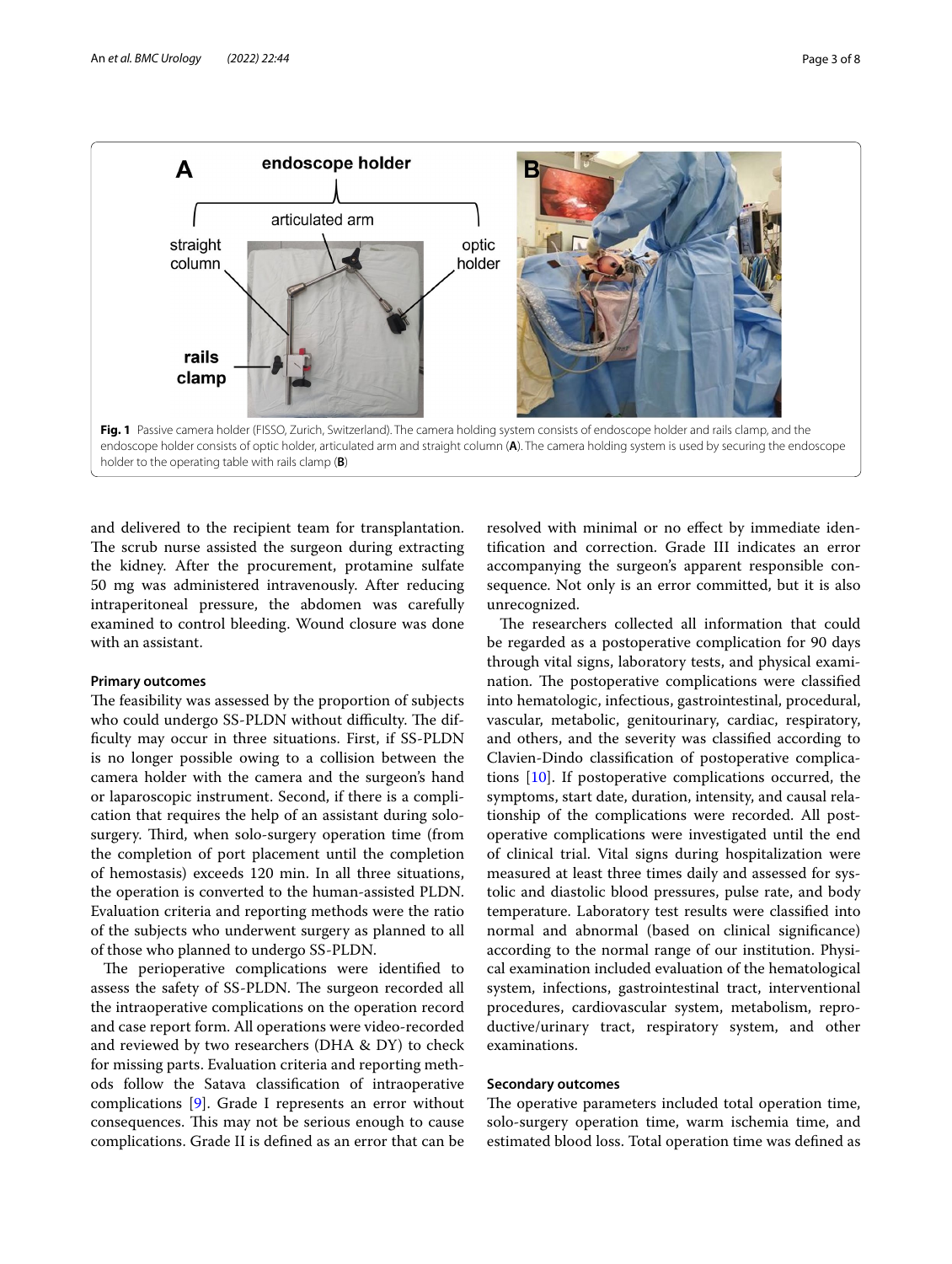

<span id="page-2-0"></span>and delivered to the recipient team for transplantation. The scrub nurse assisted the surgeon during extracting the kidney. After the procurement, protamine sulfate 50 mg was administered intravenously. After reducing intraperitoneal pressure, the abdomen was carefully examined to control bleeding. Wound closure was done with an assistant.

#### **Primary outcomes**

The feasibility was assessed by the proportion of subjects who could undergo SS-PLDN without difficulty. The diffculty may occur in three situations. First, if SS-PLDN is no longer possible owing to a collision between the camera holder with the camera and the surgeon's hand or laparoscopic instrument. Second, if there is a complication that requires the help of an assistant during solosurgery. Third, when solo-surgery operation time (from the completion of port placement until the completion of hemostasis) exceeds 120 min. In all three situations, the operation is converted to the human-assisted PLDN. Evaluation criteria and reporting methods were the ratio of the subjects who underwent surgery as planned to all of those who planned to undergo SS-PLDN.

The perioperative complications were identified to assess the safety of SS-PLDN. The surgeon recorded all the intraoperative complications on the operation record and case report form. All operations were video-recorded and reviewed by two researchers (DHA & DY) to check for missing parts. Evaluation criteria and reporting methods follow the Satava classifcation of intraoperative complications [\[9](#page-6-8)]. Grade I represents an error without consequences. This may not be serious enough to cause complications. Grade II is defned as an error that can be resolved with minimal or no efect by immediate identifcation and correction. Grade III indicates an error accompanying the surgeon's apparent responsible consequence. Not only is an error committed, but it is also unrecognized.

The researchers collected all information that could be regarded as a postoperative complication for 90 days through vital signs, laboratory tests, and physical examination. The postoperative complications were classified into hematologic, infectious, gastrointestinal, procedural, vascular, metabolic, genitourinary, cardiac, respiratory, and others, and the severity was classifed according to Clavien-Dindo classifcation of postoperative complications [\[10](#page-6-9)]. If postoperative complications occurred, the symptoms, start date, duration, intensity, and causal relationship of the complications were recorded. All postoperative complications were investigated until the end of clinical trial. Vital signs during hospitalization were measured at least three times daily and assessed for systolic and diastolic blood pressures, pulse rate, and body temperature. Laboratory test results were classifed into normal and abnormal (based on clinical signifcance) according to the normal range of our institution. Physical examination included evaluation of the hematological system, infections, gastrointestinal tract, interventional procedures, cardiovascular system, metabolism, reproductive/urinary tract, respiratory system, and other examinations.

#### **Secondary outcomes**

The operative parameters included total operation time, solo-surgery operation time, warm ischemia time, and estimated blood loss. Total operation time was defned as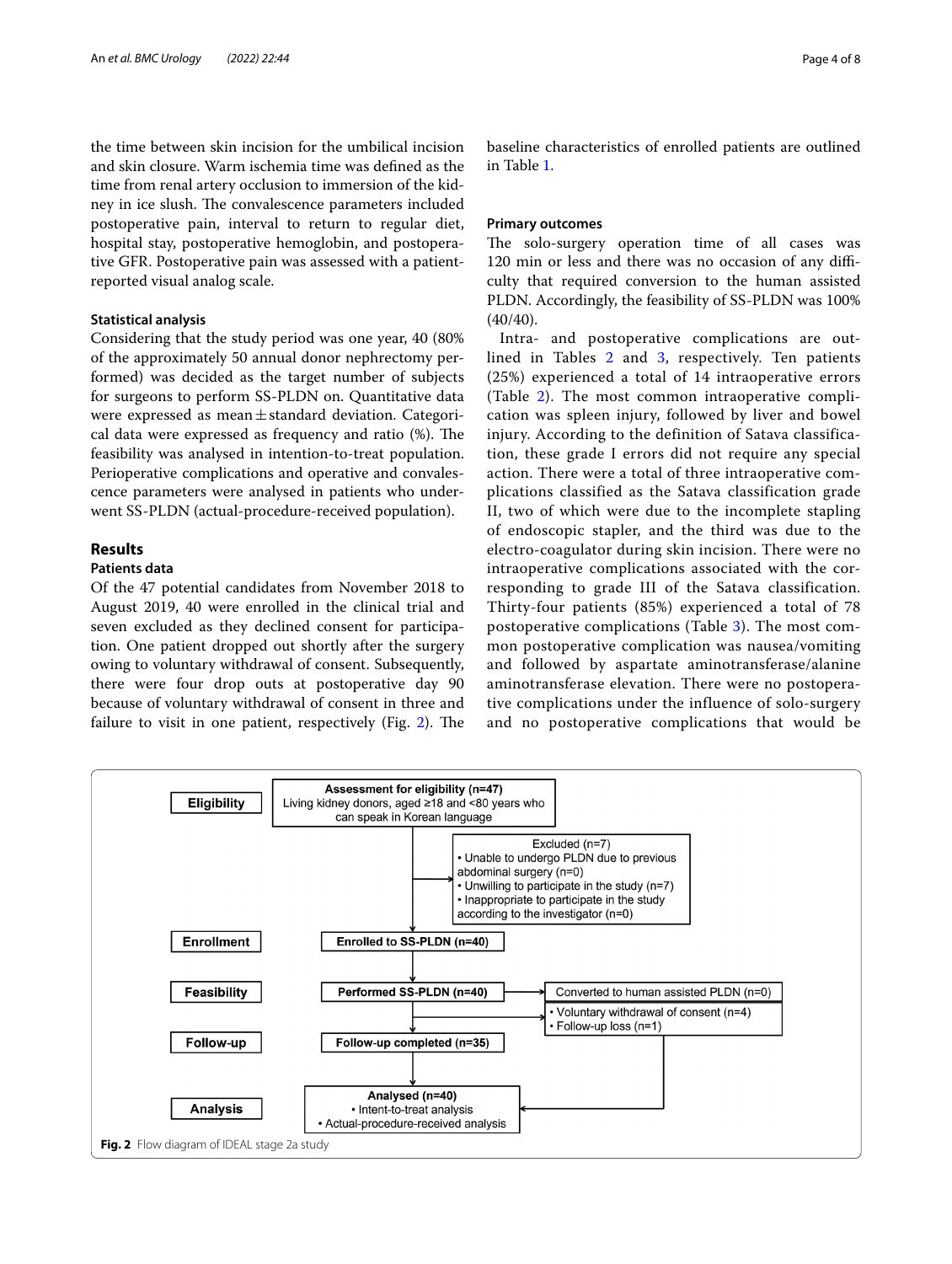the time between skin incision for the umbilical incision and skin closure. Warm ischemia time was defned as the time from renal artery occlusion to immersion of the kidney in ice slush. The convalescence parameters included postoperative pain, interval to return to regular diet, hospital stay, postoperative hemoglobin, and postoperative GFR. Postoperative pain was assessed with a patientreported visual analog scale.

#### **Statistical analysis**

Considering that the study period was one year, 40 (80% of the approximately 50 annual donor nephrectomy performed) was decided as the target number of subjects for surgeons to perform SS-PLDN on. Quantitative data were expressed as mean $\pm$ standard deviation. Categorical data were expressed as frequency and ratio (%). The feasibility was analysed in intention-to-treat population. Perioperative complications and operative and convalescence parameters were analysed in patients who underwent SS-PLDN (actual-procedure-received population).

### **Results**

#### **Patients data**

Of the 47 potential candidates from November 2018 to August 2019, 40 were enrolled in the clinical trial and seven excluded as they declined consent for participation. One patient dropped out shortly after the surgery owing to voluntary withdrawal of consent. Subsequently, there were four drop outs at postoperative day 90 because of voluntary withdrawal of consent in three and failure to visit in one patient, respectively (Fig.  $2$ ). The

baseline characteristics of enrolled patients are outlined in Table [1.](#page-4-0)

#### **Primary outcomes**

The solo-surgery operation time of all cases was 120 min or less and there was no occasion of any difficulty that required conversion to the human assisted PLDN. Accordingly, the feasibility of SS-PLDN was 100%  $(40/40).$ 

Intra- and postoperative complications are out-lined in Tables [2](#page-4-1) and [3](#page-4-2), respectively. Ten patients (25%) experienced a total of 14 intraoperative errors (Table [2](#page-4-1)). The most common intraoperative complication was spleen injury, followed by liver and bowel injury. According to the definition of Satava classification, these grade I errors did not require any special action. There were a total of three intraoperative complications classified as the Satava classification grade II, two of which were due to the incomplete stapling of endoscopic stapler, and the third was due to the electro-coagulator during skin incision. There were no intraoperative complications associated with the corresponding to grade III of the Satava classification. Thirty-four patients (85%) experienced a total of 78 postoperative complications (Table [3\)](#page-4-2). The most common postoperative complication was nausea/vomiting and followed by aspartate aminotransferase/alanine aminotransferase elevation. There were no postoperative complications under the influence of solo-surgery and no postoperative complications that would be

<span id="page-3-0"></span>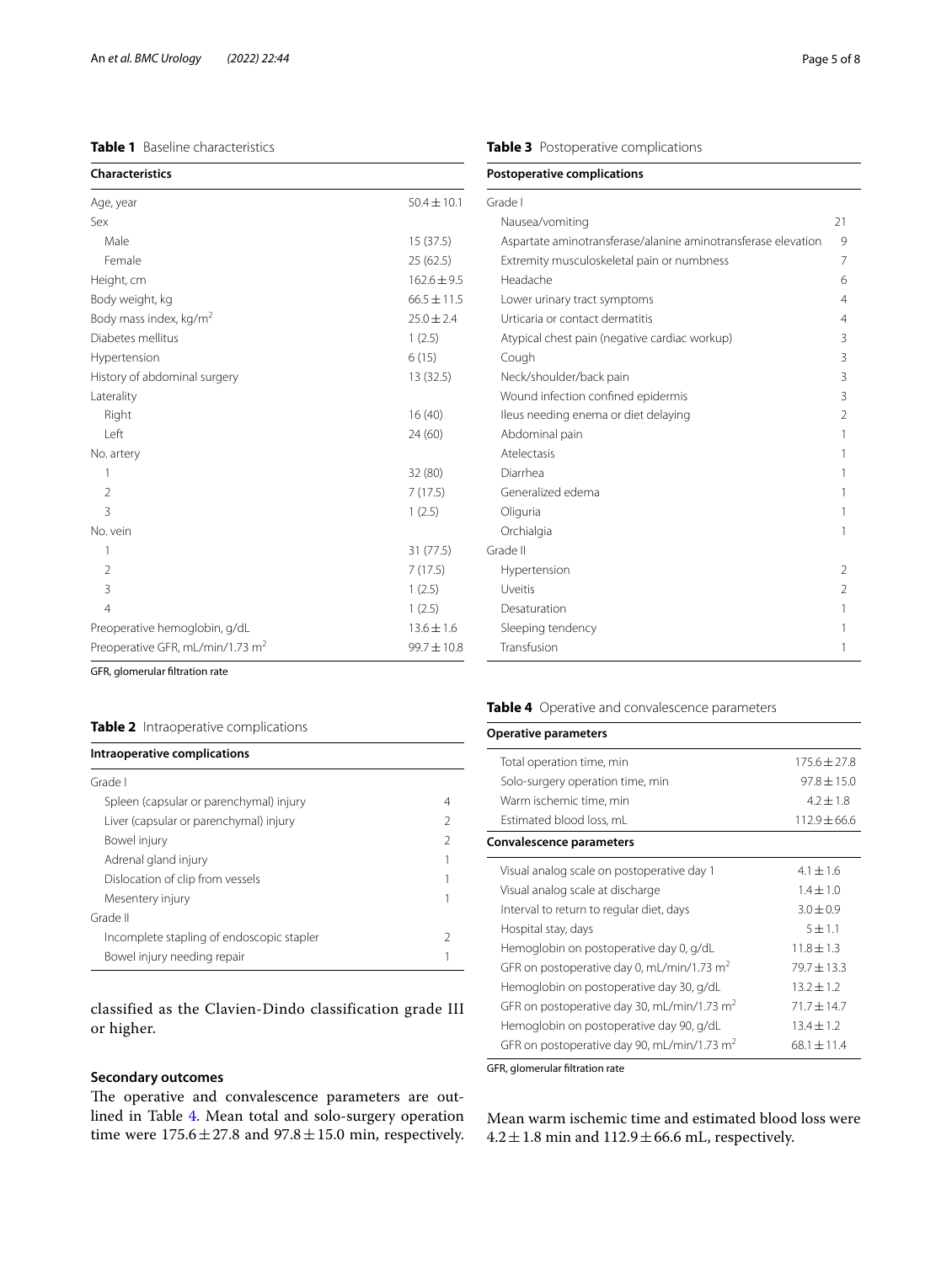## <span id="page-4-0"></span>**Table 1** Baseline characteristics

| <b>Characteristics</b>                       |                 |
|----------------------------------------------|-----------------|
| Age, year                                    | $50.4 \pm 10.1$ |
| Sex                                          |                 |
| Male                                         | 15(37.5)        |
| Female                                       | 25 (62.5)       |
| Height, cm                                   | $162.6 \pm 9.5$ |
| Body weight, kg                              | $66.5 \pm 11.5$ |
| Body mass index, kg/m <sup>2</sup>           | $25.0 \pm 2.4$  |
| Diabetes mellitus                            | 1(2.5)          |
| Hypertension                                 | 6(15)           |
| History of abdominal surgery                 | 13 (32.5)       |
| Laterality                                   |                 |
| Right                                        | 16(40)          |
| Left                                         | 24 (60)         |
| No. artery                                   |                 |
| 1                                            | 32 (80)         |
| $\mathfrak{D}$                               | 7(17.5)         |
| 3                                            | 1(2.5)          |
| No. vein                                     |                 |
| 1                                            | 31 (77.5)       |
| $\overline{2}$                               | 7(17.5)         |
| 3                                            | 1(2.5)          |
| $\overline{4}$                               | 1(2.5)          |
| Preoperative hemoglobin, g/dL                | $13.6 \pm 1.6$  |
| Preoperative GFR, mL/min/1.73 m <sup>2</sup> | $99.7 \pm 10.8$ |

GFR, glomerular fltration rate

#### <span id="page-4-1"></span>**Table 2** Intraoperative complications

#### **Intraoperative complications**

| Grade I                                   |               |
|-------------------------------------------|---------------|
| Spleen (capsular or parenchymal) injury   | 4             |
| Liver (capsular or parenchymal) injury    | $\mathcal{P}$ |
| Bowel injury                              | 2             |
| Adrenal gland injury                      |               |
| Dislocation of clip from vessels          |               |
| Mesentery injury                          |               |
| Grade II                                  |               |
| Incomplete stapling of endoscopic stapler | 2             |
| Bowel injury needing repair               |               |
|                                           |               |

classified as the Clavien-Dindo classification grade III or higher.

#### **Secondary outcomes**

The operative and convalescence parameters are outlined in Table [4.](#page-4-3) Mean total and solo-surgery operation time were  $175.6 \pm 27.8$  and  $97.8 \pm 15.0$  min, respectively.

<span id="page-4-2"></span>

| Grade I                                                       |                          |
|---------------------------------------------------------------|--------------------------|
| Nausea/vomiting                                               | 21                       |
| Aspartate aminotransferase/alanine aminotransferase elevation | 9                        |
| Extremity musculoskeletal pain or numbness                    | 7                        |
| Headache                                                      | 6                        |
| Lower urinary tract symptoms                                  | $\overline{\mathcal{L}}$ |
| Urticaria or contact dermatitis                               | 4                        |
| Atypical chest pain (negative cardiac workup)                 | 3                        |
| Cough                                                         | 3                        |
| Neck/shoulder/back pain                                       | 3                        |
| Wound infection confined epidermis                            | 3                        |
| Ileus needing enema or diet delaying                          | $\mathfrak{D}$           |
| Abdominal pain                                                | 1                        |
| Atelectasis                                                   | 1                        |
| Diarrhea                                                      | 1                        |
| Generalized edema                                             |                          |
| Oliguria                                                      | 1                        |
| Orchialgia                                                    | 1                        |
| Grade II                                                      |                          |
| Hypertension                                                  | $\mathcal{P}$            |
| Uveitis                                                       | $\mathfrak{D}$           |
| Desaturation                                                  | 1                        |
| Sleeping tendency                                             | 1                        |
| Transfusion                                                   | 1                        |

#### <span id="page-4-3"></span>**Table 4** Operative and convalescence parameters

| <b>Operative parameters</b>                            |                  |
|--------------------------------------------------------|------------------|
| Total operation time, min                              | $175.6 \pm 27.8$ |
| Solo-surgery operation time, min                       | $97.8 + 15.0$    |
| Warm ischemic time, min                                | $4.2 + 1.8$      |
| Estimated blood loss, mL                               | $112.9 \pm 66.6$ |
| Convalescence parameters                               |                  |
| Visual analog scale on postoperative day 1             | $4.1 \pm 1.6$    |
| Visual analog scale at discharge                       | $1.4 \pm 1.0$    |
| Interval to return to regular diet, days               | $3.0 \pm 0.9$    |
| Hospital stay, days                                    | $5 + 1.1$        |
| Hemoglobin on postoperative day 0, g/dL                | $11.8 + 1.3$     |
| GFR on postoperative day 0, mL/min/1.73 m <sup>2</sup> | $79.7 + 13.3$    |
| Hemoglobin on postoperative day 30, g/dL               | $13.2 + 1.2$     |
| GFR on postoperative day 30, mL/min/1.73 $m2$          | $71.7 + 14.7$    |
| Hemoglobin on postoperative day 90, g/dL               | $13.4 \pm 1.2$   |
| GFR on postoperative day 90, mL/min/1.73 $m2$          | $68.1 \pm 11.4$  |

GFR, glomerular fltration rate

Mean warm ischemic time and estimated blood loss were  $4.2\pm1.8$  min and  $112.9\pm66.6$  mL, respectively.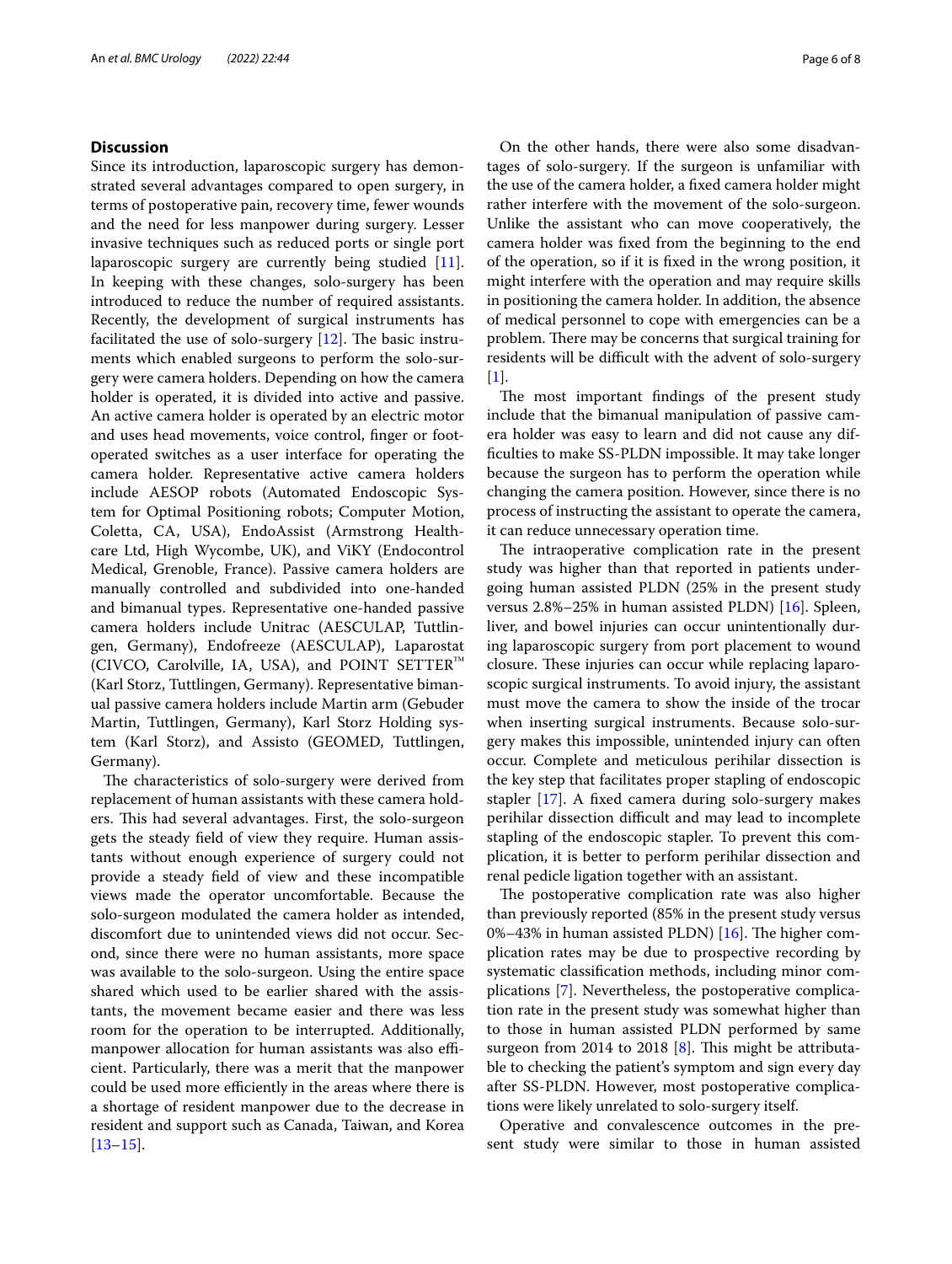#### **Discussion**

Since its introduction, laparoscopic surgery has demonstrated several advantages compared to open surgery, in terms of postoperative pain, recovery time, fewer wounds and the need for less manpower during surgery. Lesser invasive techniques such as reduced ports or single port laparoscopic surgery are currently being studied [\[11](#page-6-10)]. In keeping with these changes, solo-surgery has been introduced to reduce the number of required assistants. Recently, the development of surgical instruments has facilitated the use of solo-surgery  $[12]$  $[12]$ . The basic instruments which enabled surgeons to perform the solo-surgery were camera holders. Depending on how the camera holder is operated, it is divided into active and passive. An active camera holder is operated by an electric motor and uses head movements, voice control, fnger or footoperated switches as a user interface for operating the camera holder. Representative active camera holders include AESOP robots (Automated Endoscopic System for Optimal Positioning robots; Computer Motion, Coletta, CA, USA), EndoAssist (Armstrong Healthcare Ltd, High Wycombe, UK), and ViKY (Endocontrol Medical, Grenoble, France). Passive camera holders are manually controlled and subdivided into one-handed and bimanual types. Representative one-handed passive camera holders include Unitrac (AESCULAP, Tuttlingen, Germany), Endofreeze (AESCULAP), Laparostat (CIVCO, Carolville, IA, USA), and POINT SETTER™ (Karl Storz, Tuttlingen, Germany). Representative bimanual passive camera holders include Martin arm (Gebuder Martin, Tuttlingen, Germany), Karl Storz Holding system (Karl Storz), and Assisto (GEOMED, Tuttlingen, Germany).

The characteristics of solo-surgery were derived from replacement of human assistants with these camera holders. This had several advantages. First, the solo-surgeon gets the steady feld of view they require. Human assistants without enough experience of surgery could not provide a steady feld of view and these incompatible views made the operator uncomfortable. Because the solo-surgeon modulated the camera holder as intended, discomfort due to unintended views did not occur. Second, since there were no human assistants, more space was available to the solo-surgeon. Using the entire space shared which used to be earlier shared with the assistants, the movement became easier and there was less room for the operation to be interrupted. Additionally, manpower allocation for human assistants was also efficient. Particularly, there was a merit that the manpower could be used more efficiently in the areas where there is a shortage of resident manpower due to the decrease in resident and support such as Canada, Taiwan, and Korea [[13–](#page-6-12)[15](#page-6-13)].

On the other hands, there were also some disadvantages of solo-surgery. If the surgeon is unfamiliar with the use of the camera holder, a fxed camera holder might rather interfere with the movement of the solo-surgeon. Unlike the assistant who can move cooperatively, the camera holder was fxed from the beginning to the end of the operation, so if it is fxed in the wrong position, it might interfere with the operation and may require skills in positioning the camera holder. In addition, the absence of medical personnel to cope with emergencies can be a problem. There may be concerns that surgical training for residents will be difficult with the advent of solo-surgery  $[1]$  $[1]$ .

The most important findings of the present study include that the bimanual manipulation of passive camera holder was easy to learn and did not cause any diffculties to make SS-PLDN impossible. It may take longer because the surgeon has to perform the operation while changing the camera position. However, since there is no process of instructing the assistant to operate the camera, it can reduce unnecessary operation time.

The intraoperative complication rate in the present study was higher than that reported in patients undergoing human assisted PLDN (25% in the present study versus 2.8%–25% in human assisted PLDN) [[16\]](#page-6-14). Spleen, liver, and bowel injuries can occur unintentionally during laparoscopic surgery from port placement to wound closure. These injuries can occur while replacing laparoscopic surgical instruments. To avoid injury, the assistant must move the camera to show the inside of the trocar when inserting surgical instruments. Because solo-surgery makes this impossible, unintended injury can often occur. Complete and meticulous perihilar dissection is the key step that facilitates proper stapling of endoscopic stapler [\[17](#page-6-15)]. A fxed camera during solo-surgery makes perihilar dissection difficult and may lead to incomplete stapling of the endoscopic stapler. To prevent this complication, it is better to perform perihilar dissection and renal pedicle ligation together with an assistant.

The postoperative complication rate was also higher than previously reported (85% in the present study versus 0%–43% in human assisted PLDN)  $[16]$  $[16]$ . The higher complication rates may be due to prospective recording by systematic classifcation methods, including minor complications [[7\]](#page-6-6). Nevertheless, the postoperative complication rate in the present study was somewhat higher than to those in human assisted PLDN performed by same surgeon from 2014 to 2018  $[8]$  $[8]$ . This might be attributable to checking the patient's symptom and sign every day after SS-PLDN. However, most postoperative complications were likely unrelated to solo-surgery itself.

Operative and convalescence outcomes in the present study were similar to those in human assisted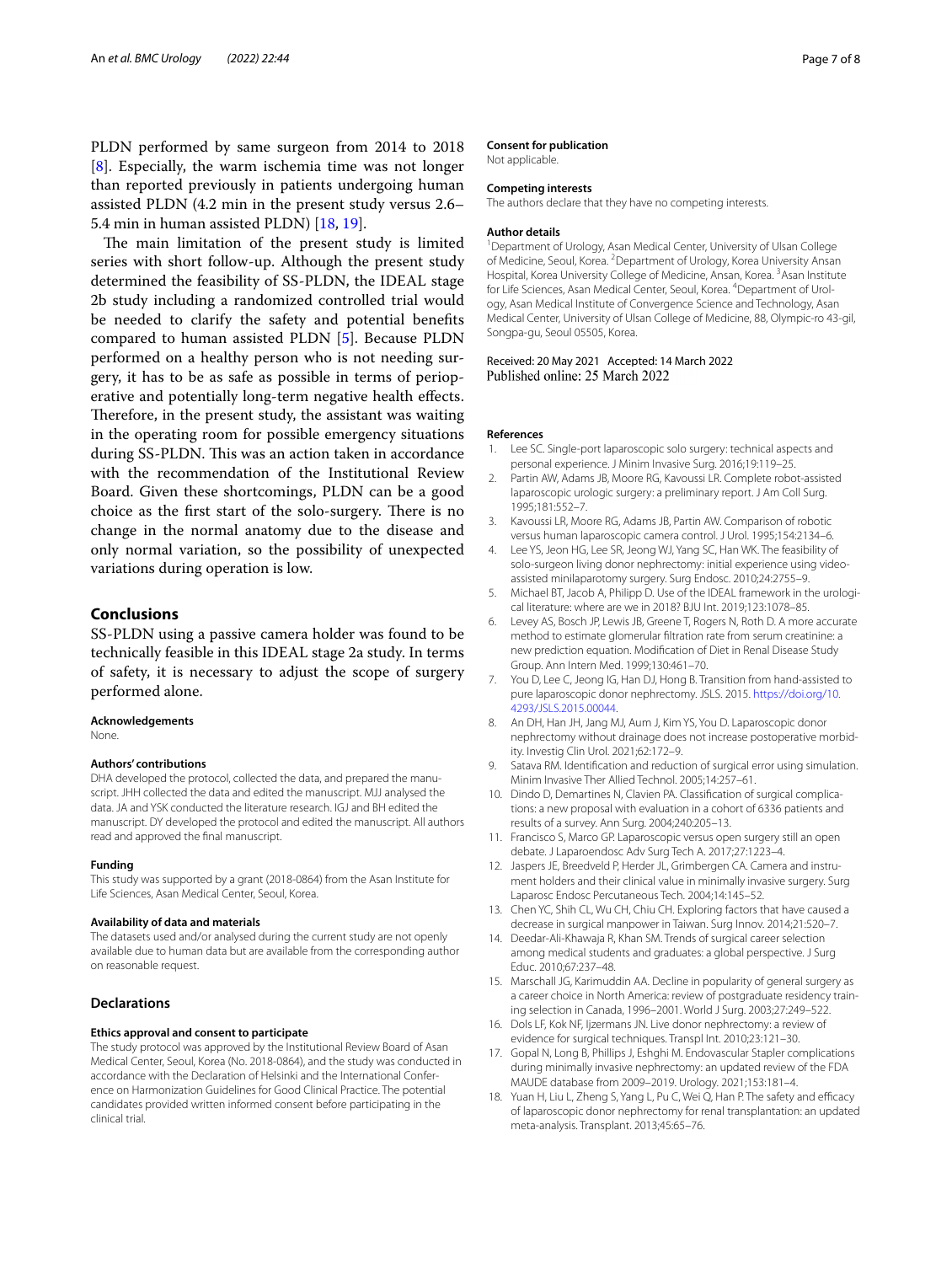PLDN performed by same surgeon from 2014 to 2018 [[8\]](#page-6-7). Especially, the warm ischemia time was not longer than reported previously in patients undergoing human assisted PLDN (4.2 min in the present study versus 2.6– 5.4 min in human assisted PLDN) [[18,](#page-6-16) [19](#page-7-0)].

The main limitation of the present study is limited series with short follow-up. Although the present study determined the feasibility of SS-PLDN, the IDEAL stage 2b study including a randomized controlled trial would be needed to clarify the safety and potential benefts compared to human assisted PLDN [[5\]](#page-6-4). Because PLDN performed on a healthy person who is not needing surgery, it has to be as safe as possible in terms of perioperative and potentially long-term negative health efects. Therefore, in the present study, the assistant was waiting in the operating room for possible emergency situations during SS-PLDN. This was an action taken in accordance with the recommendation of the Institutional Review Board. Given these shortcomings, PLDN can be a good choice as the first start of the solo-surgery. There is no change in the normal anatomy due to the disease and only normal variation, so the possibility of unexpected variations during operation is low.

#### **Conclusions**

SS-PLDN using a passive camera holder was found to be technically feasible in this IDEAL stage 2a study. In terms of safety, it is necessary to adjust the scope of surgery performed alone.

#### **Acknowledgements**

None.

#### **Authors' contributions**

DHA developed the protocol, collected the data, and prepared the manuscript. JHH collected the data and edited the manuscript. MJJ analysed the data. JA and YSK conducted the literature research. IGJ and BH edited the manuscript. DY developed the protocol and edited the manuscript. All authors read and approved the fnal manuscript.

#### **Funding**

This study was supported by a grant (2018-0864) from the Asan Institute for Life Sciences, Asan Medical Center, Seoul, Korea.

#### **Availability of data and materials**

The datasets used and/or analysed during the current study are not openly available due to human data but are available from the corresponding author on reasonable request.

#### **Declarations**

#### **Ethics approval and consent to participate**

The study protocol was approved by the Institutional Review Board of Asan Medical Center, Seoul, Korea (No. 2018-0864), and the study was conducted in accordance with the Declaration of Helsinki and the International Conference on Harmonization Guidelines for Good Clinical Practice. The potential candidates provided written informed consent before participating in the clinical trial.

#### **Consent for publication**

Not applicable.

#### **Competing interests**

The authors declare that they have no competing interests.

#### **Author details**

<sup>1</sup> Department of Urology, Asan Medical Center, University of Ulsan College of Medicine, Seoul, Korea. <sup>2</sup> Department of Urology, Korea University Ansan Hospital, Korea University College of Medicine, Ansan, Korea. <sup>3</sup> Asan Institute for Life Sciences, Asan Medical Center, Seoul, Korea. <sup>4</sup> Department of Urology, Asan Medical Institute of Convergence Science and Technology, Asan Medical Center, University of Ulsan College of Medicine, 88, Olympic-ro 43-gil, Songpa-gu, Seoul 05505, Korea.

# Received: 20 May 2021 Accepted: 14 March 2022<br>Published online: 25 March 2022

#### **References**

- <span id="page-6-0"></span>1. Lee SC. Single-port laparoscopic solo surgery: technical aspects and personal experience. J Minim Invasive Surg. 2016;19:119–25.
- <span id="page-6-1"></span>2. Partin AW, Adams JB, Moore RG, Kavoussi LR. Complete robot-assisted laparoscopic urologic surgery: a preliminary report. J Am Coll Surg. 1995;181:552–7.
- <span id="page-6-2"></span>3. Kavoussi LR, Moore RG, Adams JB, Partin AW. Comparison of robotic versus human laparoscopic camera control. J Urol. 1995;154:2134–6.
- <span id="page-6-3"></span>4. Lee YS, Jeon HG, Lee SR, Jeong WJ, Yang SC, Han WK. The feasibility of solo-surgeon living donor nephrectomy: initial experience using videoassisted minilaparotomy surgery. Surg Endosc. 2010;24:2755–9.
- <span id="page-6-4"></span>5. Michael BT, Jacob A, Philipp D. Use of the IDEAL framework in the urological literature: where are we in 2018? BJU Int. 2019;123:1078–85.
- <span id="page-6-5"></span>6. Levey AS, Bosch JP, Lewis JB, Greene T, Rogers N, Roth D. A more accurate method to estimate glomerular fltration rate from serum creatinine: a new prediction equation. Modifcation of Diet in Renal Disease Study Group. Ann Intern Med. 1999;130:461–70.
- <span id="page-6-6"></span>7. You D, Lee C, Jeong IG, Han DJ, Hong B. Transition from hand-assisted to pure laparoscopic donor nephrectomy. JSLS. 2015. [https://doi.org/10.](https://doi.org/10.4293/JSLS.2015.00044) [4293/JSLS.2015.00044](https://doi.org/10.4293/JSLS.2015.00044).
- <span id="page-6-7"></span>8. An DH, Han JH, Jang MJ, Aum J, Kim YS, You D. Laparoscopic donor nephrectomy without drainage does not increase postoperative morbidity. Investig Clin Urol. 2021;62:172–9.
- <span id="page-6-8"></span>9. Satava RM. Identifcation and reduction of surgical error using simulation. Minim Invasive Ther Allied Technol. 2005;14:257–61.
- <span id="page-6-9"></span>10. Dindo D, Demartines N, Clavien PA. Classifcation of surgical complications: a new proposal with evaluation in a cohort of 6336 patients and results of a survey. Ann Surg. 2004;240:205–13.
- <span id="page-6-10"></span>11. Francisco S, Marco GP. Laparoscopic versus open surgery still an open debate. J Laparoendosc Adv Surg Tech A. 2017;27:1223–4.
- <span id="page-6-11"></span>12. Jaspers JE, Breedveld P, Herder JL, Grimbergen CA. Camera and instrument holders and their clinical value in minimally invasive surgery. Surg Laparosc Endosc Percutaneous Tech. 2004;14:145–52.
- <span id="page-6-12"></span>13. Chen YC, Shih CL, Wu CH, Chiu CH. Exploring factors that have caused a decrease in surgical manpower in Taiwan. Surg Innov. 2014;21:520–7.
- 14. Deedar-Ali-Khawaja R, Khan SM. Trends of surgical career selection among medical students and graduates: a global perspective. J Surg Educ. 2010;67:237–48.
- <span id="page-6-13"></span>15. Marschall JG, Karimuddin AA. Decline in popularity of general surgery as a career choice in North America: review of postgraduate residency training selection in Canada, 1996–2001. World J Surg. 2003;27:249–522.
- <span id="page-6-14"></span>16. Dols LF, Kok NF, Ijzermans JN. Live donor nephrectomy: a review of evidence for surgical techniques. Transpl Int. 2010;23:121–30.
- <span id="page-6-15"></span>17. Gopal N, Long B, Phillips J, Eshghi M. Endovascular Stapler complications during minimally invasive nephrectomy: an updated review of the FDA MAUDE database from 2009–2019. Urology. 2021;153:181–4.
- <span id="page-6-16"></span>18. Yuan H, Liu L, Zheng S, Yang L, Pu C, Wei Q, Han P. The safety and efficacy of laparoscopic donor nephrectomy for renal transplantation: an updated meta-analysis. Transplant. 2013;45:65–76.